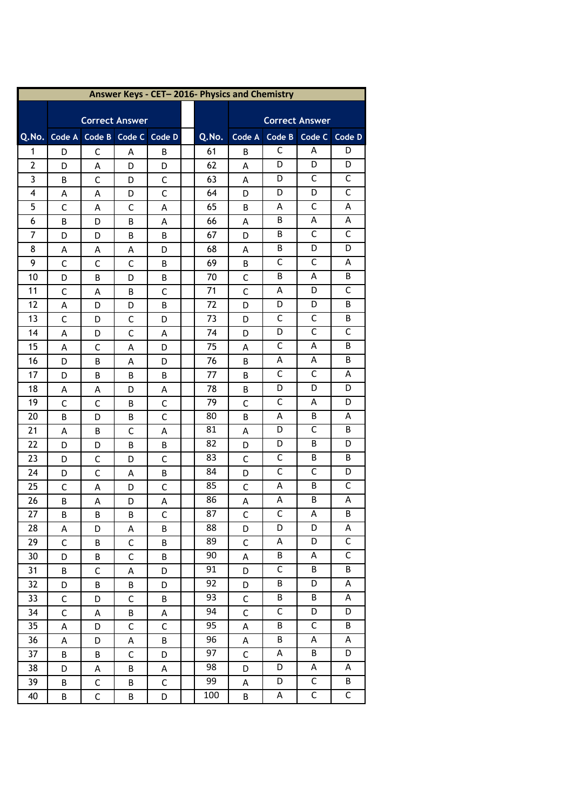| Answer Keys - CET-2016- Physics and Chemistry |              |             |                             |              |  |                 |              |                         |                         |                |  |
|-----------------------------------------------|--------------|-------------|-----------------------------|--------------|--|-----------------|--------------|-------------------------|-------------------------|----------------|--|
|                                               |              |             |                             |              |  |                 |              |                         |                         |                |  |
|                                               |              |             | <b>Correct Answer</b>       |              |  |                 |              |                         | <b>Correct Answer</b>   |                |  |
| Q.No.                                         |              |             | Code A Code B Code C Code D |              |  | Q.No.           | Code A       | Code B                  | Code C                  | Code D         |  |
| 1                                             | D            | С           | Α                           | B            |  | 61              | B            | С                       | A                       | D              |  |
| 2                                             | D            | A           | D                           | D            |  | 62              | A            | D                       | D                       | D              |  |
| 3                                             | В            | C           | D                           | C            |  | 63              | Α            | D                       | С                       | C              |  |
| 4                                             | Α            | A           | D                           | $\mathsf{C}$ |  | 64              | D            | D                       | D                       | $\mathsf{C}$   |  |
| 5                                             | C            | Α           | С                           | Α            |  | 65              | B            | Α                       | С                       | Α              |  |
| 6                                             | B            | D           | B                           | Α            |  | 66              | Α            | В                       | Α                       | Α              |  |
| 7                                             | D            | D           | В                           | В            |  | 67              | D            | В                       | C                       | $\mathsf{C}$   |  |
| 8                                             | Α            | Α           | Α                           | D            |  | 68              | Α            | B                       | D                       | D              |  |
| 9                                             | $\mathsf C$  | C           | C                           | В            |  | 69              | В            | C                       | C                       | A              |  |
| 10                                            | D            | B           | D                           | В            |  | 70              | C            | В                       | Α                       | B              |  |
| 11                                            | C            | A           | В                           | C            |  | 71              | $\mathsf{C}$ | Α                       | D                       | C              |  |
| 12                                            | Α            | D           | D                           | B            |  | 72              | D            | D                       | D                       | В              |  |
| 13                                            | $\mathsf{C}$ | D           | C                           | D            |  | 73              | D            | C                       | C                       | В              |  |
| 14                                            | Α            | D           | C                           | А            |  | 74              | D            | D                       | $\mathsf C$             | $\mathsf{C}$   |  |
| 15                                            | Α            | C           | Α                           | D            |  | 75              | Α            | C                       | Α                       | B              |  |
| 16                                            | D            | B           | Α                           | D            |  | 76              | B            | Α                       | Α                       | B              |  |
| 17                                            | D            | В           | В                           | В            |  | 77              | В            | C                       | С                       | Α              |  |
| 18                                            | Α            | Α           | D                           | Α            |  | 78              | B            | D                       | D                       | D              |  |
| 19                                            | C            | С           | B                           | C            |  | 79              | С            | C                       | Α                       | D              |  |
| 20                                            | В            | D           | В                           | C            |  | 80              | B            | Α                       | B                       | Α              |  |
| 21                                            | Α            | B           | С                           | Α            |  | 81              | Α            | D                       | C                       | B              |  |
| 22                                            | D            | D           | В                           | В            |  | 82              | D            | D                       | В                       | D              |  |
| 23                                            | D            | C           | D                           | $\mathsf{C}$ |  | 83              | $\mathsf C$  | C                       | B                       | В              |  |
| 24                                            | D            | С           | Α                           | B            |  | 84              | D            | $\mathsf C$             | С                       | D              |  |
| 25                                            | $\mathsf{C}$ | Α           | D                           | C            |  | 85              | C            | Α                       | В                       | С              |  |
| 26                                            | B            | А           | D                           | А            |  | 86              | A            | A                       | В                       | Α              |  |
| 27                                            | B            | B.          | В                           | C            |  | 87              | C            | С                       | Α                       | B              |  |
| 28                                            | Α            | D           | Α                           | В            |  | 88              | D            | D                       | D                       | А              |  |
| 29                                            | $\mathsf C$  | B           | $\mathsf C$                 | B            |  | 89              | $\mathsf C$  | А                       | D                       | C              |  |
| 30                                            | D            | B           | C                           | B            |  | 90              | A            | B                       | A                       | $\overline{C}$ |  |
| 31                                            | B            | $\mathsf C$ | Α                           | D            |  | 91              | D            | $\mathsf C$             | B                       | B              |  |
| 32                                            | D            | B           | B                           | D            |  | 92              | D            | В                       | D                       | Α              |  |
| 33                                            | $\mathsf C$  | D           | $\mathsf C$                 | B            |  | 93              | $\mathsf C$  | B                       | B                       | Α              |  |
| 34                                            | $\mathsf C$  | А           | B                           | A            |  | 94              | $\mathsf C$  | $\overline{\mathsf{C}}$ | D                       | D              |  |
| 35                                            | A            | D           | C                           | $\mathsf{C}$ |  | $\overline{95}$ | A            | B                       | $\overline{\mathsf{C}}$ | B              |  |
| 36                                            | A            | D           | А                           | B            |  | 96              | A            | B                       | A                       | Α              |  |
| 37                                            | B            | B           | $\mathsf C$                 | D            |  | 97              | $\mathsf C$  | А                       | B                       | D              |  |
| 38                                            | D            | Α           | B                           | A            |  | 98              | D            | D                       | Α                       | Α              |  |
| 39                                            | B            | $\mathsf C$ | B                           | $\mathsf C$  |  | 99              | Α            | D                       | C                       | Β              |  |
| 40                                            | B            | $\mathsf C$ | Β                           | D            |  | 100             | $\sf B$      | A                       | $\mathsf C$             | $\mathsf C$    |  |